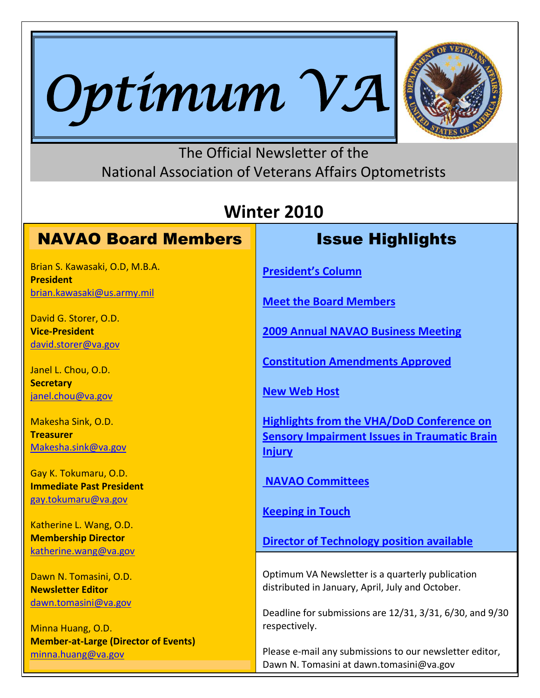



### The Official Newsletter of the National Association of Veterans Affairs Optometrists

## **Winter 2010**

### NAVAO Board Members

Brian S. Kawasaki, O.D, M.B.A. **President** [brian.kawasaki@us.army.mil](mailto:brian.kawasaki@us.army.mil)

David G. Storer, O.D. **Vice-President** [david.storer@va.gov](mailto:david.storer@va.gov)

Janel L. Chou, O.D. **Secretary** [janel.chou@va.gov](mailto:janel.chou@va.gov)

Makesha Sink, O.D. **Treasurer** [Makesha.sink@va.gov](mailto:Makesha.sink@va.gov)

Gay K. Tokumaru, O.D. **Immediate Past President** [gay.tokumaru@va.gov](mailto:gay.tokumaru@va.gov)

Katherine L. Wang, O.D. **Membership Director** [katherine.wang@va.gov](file://VHAMORCLU1B/MY-DOCUMENTS/VHAMORTOMASD/AppData/Local/Temp/katherine.wang@va.gov)

Dawn N. Tomasini, O.D. **Newsletter Editor** [dawn.tomasini@va.gov](mailto:dawn.tomasini@va.gov)

Minna Huang, O.D. **Member-at-Large (Director of Events)** [minna.huang@va.gov](mailto:minna.huang@va.gov)

### Issue Highlights

**[President's Column](#page-1-0)**

**[Meet the Board Members](#page-2-0)**

**[2009 Annual NAVAO Business Meeting](#page-6-0)**

**Constitution [Amendments Approved](#page-7-0)**

**[New Web Host](#page-9-0)**

**[Highlights from the VHA/DoD Conference on](#page-10-0)  [Sensory Impairment Issues in Traumatic Brain](#page-10-0)  [Injury](#page-10-0)**

**[NAVAO Committees](#page-11-0)**

**[Keeping in Touch](#page-13-0)**

**[Director of Technology position available](#page-14-0)**

Optimum VA Newsletter is a quarterly publication distributed in January, April, July and October.

Deadline for submissions are 12/31, 3/31, 6/30, and 9/30 respectively.

Please e-mail any submissions to our newsletter editor, Dawn N. Tomasini at dawn.tomasini@va.gov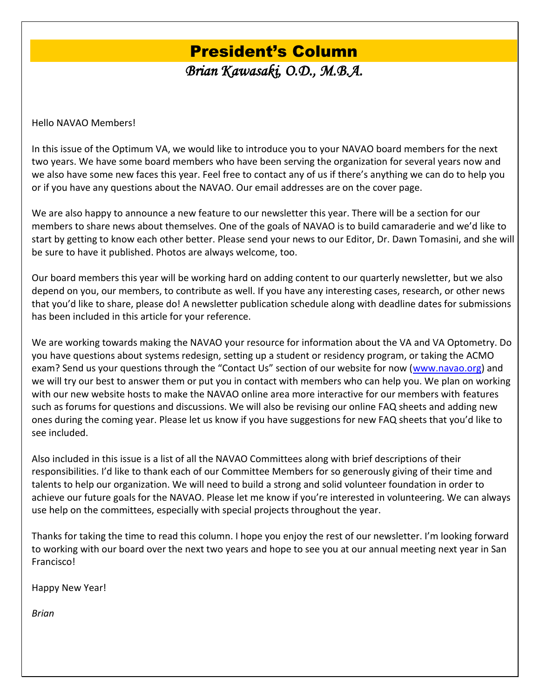# President's Column

*Brian Kawasaki, O.D., M.B.A.* 

<span id="page-1-0"></span>Hello NAVAO Members!

In this issue of the Optimum VA, we would like to introduce you to your NAVAO board members for the next two years. We have some board members who have been serving the organization for several years now and we also have some new faces this year. Feel free to contact any of us if there's anything we can do to help you or if you have any questions about the NAVAO. Our email addresses are on the cover page.

We are also happy to announce a new feature to our newsletter this year. There will be a section for our members to share news about themselves. One of the goals of NAVAO is to build camaraderie and we'd like to start by getting to know each other better. Please send your news to our Editor, Dr. Dawn Tomasini, and she will be sure to have it published. Photos are always welcome, too.

Our board members this year will be working hard on adding content to our quarterly newsletter, but we also depend on you, our members, to contribute as well. If you have any interesting cases, research, or other news that you'd like to share, please do! A newsletter publication schedule along with deadline dates for submissions has been included in this article for your reference.

We are working towards making the NAVAO your resource for information about the VA and VA Optometry. Do you have questions about systems redesign, setting up a student or residency program, or taking the ACMO exam? Send us your questions through the "Contact Us" section of our website for now ([www.navao.org\)](http://www.navao.org/) and we will try our best to answer them or put you in contact with members who can help you. We plan on working with our new website hosts to make the NAVAO online area more interactive for our members with features such as forums for questions and discussions. We will also be revising our online FAQ sheets and adding new ones during the coming year. Please let us know if you have suggestions for new FAQ sheets that you'd like to see included.

Also included in this issue is a list of all the NAVAO Committees along with brief descriptions of their responsibilities. I'd like to thank each of our Committee Members for so generously giving of their time and talents to help our organization. We will need to build a strong and solid volunteer foundation in order to achieve our future goals for the NAVAO. Please let me know if you're interested in volunteering. We can always use help on the committees, especially with special projects throughout the year.

Thanks for taking the time to read this column. I hope you enjoy the rest of our newsletter. I'm looking forward to working with our board over the next two years and hope to see you at our annual meeting next year in San Francisco!

Happy New Year!

*Brian*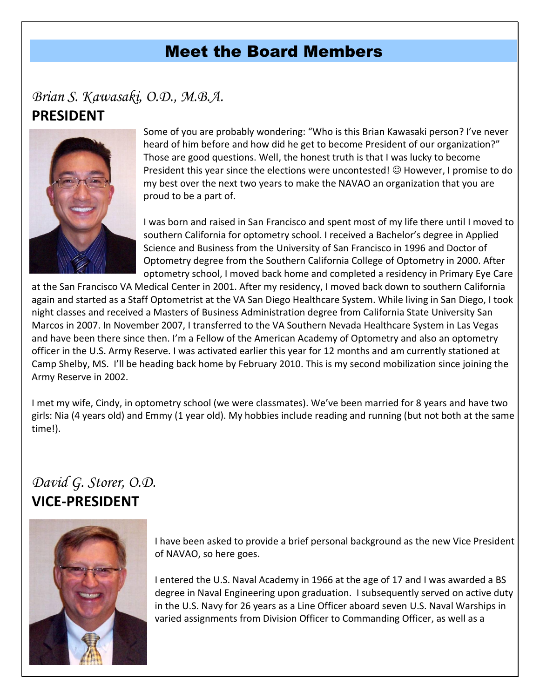### Meet the Board Members

### <span id="page-2-0"></span>*Brian S. Kawasaki, O.D., M.B.A.* **PRESIDENT**



Some of you are probably wondering: "Who is this Brian Kawasaki person? I've never heard of him before and how did he get to become President of our organization?" Those are good questions. Well, the honest truth is that I was lucky to become President this year since the elections were uncontested!  $\odot$  However, I promise to do my best over the next two years to make the NAVAO an organization that you are proud to be a part of.

I was born and raised in San Francisco and spent most of my life there until I moved to southern California for optometry school. I received a Bachelor's degree in Applied Science and Business from the University of San Francisco in 1996 and Doctor of Optometry degree from the Southern California College of Optometry in 2000. After optometry school, I moved back home and completed a residency in Primary Eye Care

at the San Francisco VA Medical Center in 2001. After my residency, I moved back down to southern California again and started as a Staff Optometrist at the VA San Diego Healthcare System. While living in San Diego, I took night classes and received a Masters of Business Administration degree from California State University San Marcos in 2007. In November 2007, I transferred to the VA Southern Nevada Healthcare System in Las Vegas and have been there since then. I'm a Fellow of the American Academy of Optometry and also an optometry officer in the U.S. Army Reserve. I was activated earlier this year for 12 months and am currently stationed at Camp Shelby, MS. I'll be heading back home by February 2010. This is my second mobilization since joining the Army Reserve in 2002.

I met my wife, Cindy, in optometry school (we were classmates). We've been married for 8 years and have two girls: Nia (4 years old) and Emmy (1 year old). My hobbies include reading and running (but not both at the same time!).

### *David G. Storer, O.D.*  **VICE-PRESIDENT**



I have been asked to provide a brief personal background as the new Vice President of NAVAO, so here goes.

I entered the U.S. Naval Academy in 1966 at the age of 17 and I was awarded a BS degree in Naval Engineering upon graduation. I subsequently served on active duty in the U.S. Navy for 26 years as a Line Officer aboard seven U.S. Naval Warships in varied assignments from Division Officer to Commanding Officer, as well as a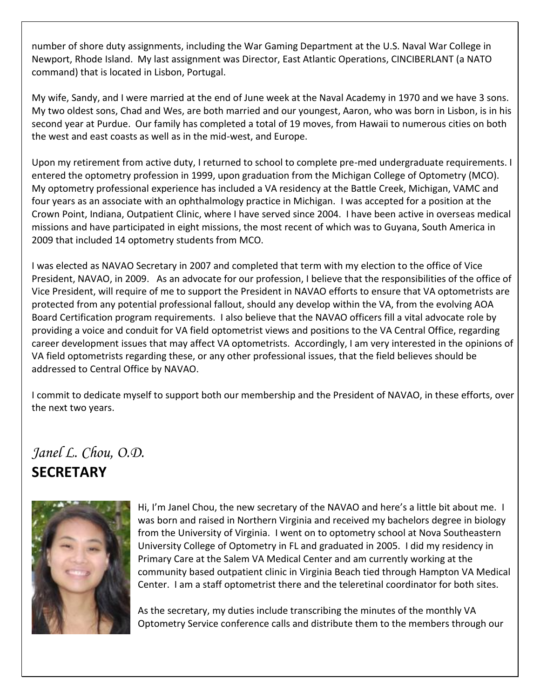number of shore duty assignments, including the War Gaming Department at the U.S. Naval War College in Newport, Rhode Island. My last assignment was Director, East Atlantic Operations, CINCIBERLANT (a NATO command) that is located in Lisbon, Portugal.

My wife, Sandy, and I were married at the end of June week at the Naval Academy in 1970 and we have 3 sons. My two oldest sons, Chad and Wes, are both married and our youngest, Aaron, who was born in Lisbon, is in his second year at Purdue. Our family has completed a total of 19 moves, from Hawaii to numerous cities on both the west and east coasts as well as in the mid-west, and Europe.

Upon my retirement from active duty, I returned to school to complete pre-med undergraduate requirements. I entered the optometry profession in 1999, upon graduation from the Michigan College of Optometry (MCO). My optometry professional experience has included a VA residency at the Battle Creek, Michigan, VAMC and four years as an associate with an ophthalmology practice in Michigan. I was accepted for a position at the Crown Point, Indiana, Outpatient Clinic, where I have served since 2004. I have been active in overseas medical missions and have participated in eight missions, the most recent of which was to Guyana, South America in 2009 that included 14 optometry students from MCO.

I was elected as NAVAO Secretary in 2007 and completed that term with my election to the office of Vice President, NAVAO, in 2009. As an advocate for our profession, I believe that the responsibilities of the office of Vice President, will require of me to support the President in NAVAO efforts to ensure that VA optometrists are protected from any potential professional fallout, should any develop within the VA, from the evolving AOA Board Certification program requirements. I also believe that the NAVAO officers fill a vital advocate role by providing a voice and conduit for VA field optometrist views and positions to the VA Central Office, regarding career development issues that may affect VA optometrists. Accordingly, I am very interested in the opinions of VA field optometrists regarding these, or any other professional issues, that the field believes should be addressed to Central Office by NAVAO.

I commit to dedicate myself to support both our membership and the President of NAVAO, in these efforts, over the next two years.

### *Janel L. Chou, O.D.* **SECRETARY**



Hi, I'm Janel Chou, the new secretary of the NAVAO and here's a little bit about me. I was born and raised in Northern Virginia and received my bachelors degree in biology from the University of Virginia. I went on to optometry school at Nova Southeastern University College of Optometry in FL and graduated in 2005. I did my residency in Primary Care at the Salem VA Medical Center and am currently working at the community based outpatient clinic in Virginia Beach tied through Hampton VA Medical Center. I am a staff optometrist there and the teleretinal coordinator for both sites.

As the secretary, my duties include transcribing the minutes of the monthly VA Optometry Service conference calls and distribute them to the members through our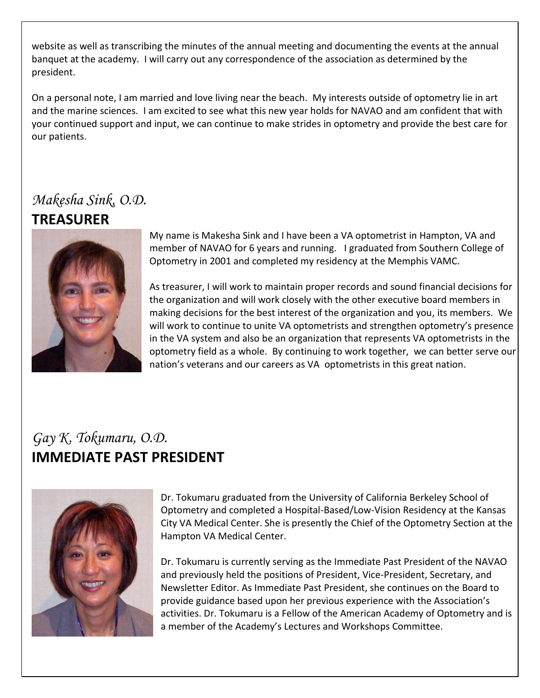website as well as transcribing the minutes of the annual meeting and documenting the events at the annual banquet at the academy. I will carry out any correspondence of the association as determined by the president.

On a personal note, I am married and love living near the beach. My interests outside of optometry lie in art and the marine sciences. I am excited to see what this new year holds for NAVAO and am confident that with your continued support and input, we can continue to make strides in optometry and provide the best care for our patients.

### *Makesha Sink, O.D.*

### **TREASURER**



My name is Makesha Sink and I have been a VA optometrist in Hampton, VA and member of NAVAO for 6 years and running. I graduated from Southern College of Optometry in 2001 and completed my residency at the Memphis VAMC.

As treasurer, I will work to maintain proper records and sound financial decisions for the organization and will work closely with the other executive board members in making decisions for the best interest of the organization and you, its members. We will work to continue to unite VA optometrists and strengthen optometry's presence in the VA system and also be an organization that represents VA optometrists in the optometry field as a whole. By continuing to work together, we can better serve our nation's veterans and our careers as VA optometrists in this great nation.

### *Gay K. Tokumaru, O.D.* **IMMEDIATE PAST PRESIDENT**



Dr. Tokumaru graduated from the University of California Berkeley School of Optometry and completed a Hospital-Based/Low-Vision Residency at the Kansas City VA Medical Center. She is presently the Chief of the Optometry Section at the Hampton VA Medical Center.

Dr. Tokumaru is currently serving as the Immediate Past President of the NAVAO and previously held the positions of President, Vice-President, Secretary, and Newsletter Editor. As Immediate Past President, she continues on the Board to provide guidance based upon her previous experience with the Association's activities. Dr. Tokumaru is a Fellow of the American Academy of Optometry and is a member of the Academy's Lectures and Workshops Committee.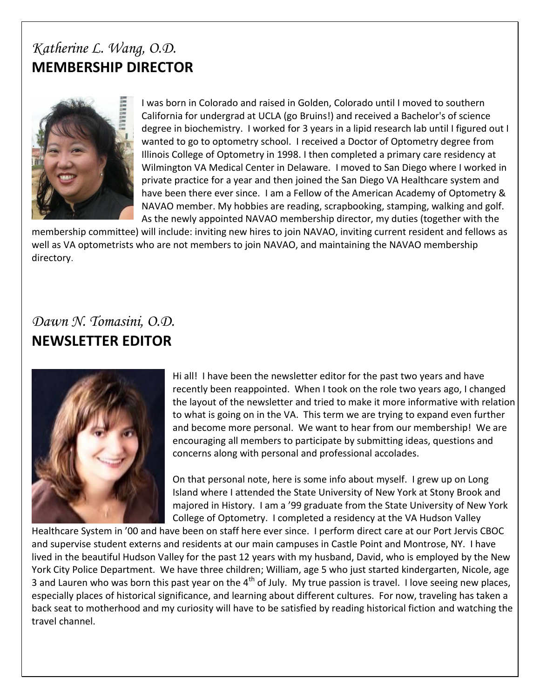### *Katherine L. Wang, O.D.* **MEMBERSHIP DIRECTOR**



I was born in Colorado and raised in Golden, Colorado until I moved to southern California for undergrad at UCLA (go Bruins!) and received a Bachelor's of science degree in biochemistry. I worked for 3 years in a lipid research lab until I figured out I wanted to go to optometry school. I received a Doctor of Optometry degree from Illinois College of Optometry in 1998. I then completed a primary care residency at Wilmington VA Medical Center in Delaware. I moved to San Diego where I worked in private practice for a year and then joined the San Diego VA Healthcare system and have been there ever since. I am a Fellow of the American Academy of Optometry & NAVAO member. My hobbies are reading, scrapbooking, stamping, walking and golf. As the newly appointed NAVAO membership director, my duties (together with the

membership committee) will include: inviting new hires to join NAVAO, inviting current resident and fellows as well as VA optometrists who are not members to join NAVAO, and maintaining the NAVAO membership directory.

### *Dawn N. Tomasini, O.D.* **NEWSLETTER EDITOR**



Hi all! I have been the newsletter editor for the past two years and have recently been reappointed. When I took on the role two years ago, I changed the layout of the newsletter and tried to make it more informative with relation to what is going on in the VA. This term we are trying to expand even further and become more personal. We want to hear from our membership! We are encouraging all members to participate by submitting ideas, questions and concerns along with personal and professional accolades.

On that personal note, here is some info about myself. I grew up on Long Island where I attended the State University of New York at Stony Brook and majored in History. I am a '99 graduate from the State University of New York College of Optometry. I completed a residency at the VA Hudson Valley

Healthcare System in '00 and have been on staff here ever since. I perform direct care at our Port Jervis CBOC and supervise student externs and residents at our main campuses in Castle Point and Montrose, NY. I have lived in the beautiful Hudson Valley for the past 12 years with my husband, David, who is employed by the New York City Police Department. We have three children; William, age 5 who just started kindergarten, Nicole, age 3 and Lauren who was born this past year on the 4<sup>th</sup> of July. My true passion is travel. I love seeing new places, especially places of historical significance, and learning about different cultures. For now, traveling has taken a back seat to motherhood and my curiosity will have to be satisfied by reading historical fiction and watching the travel channel.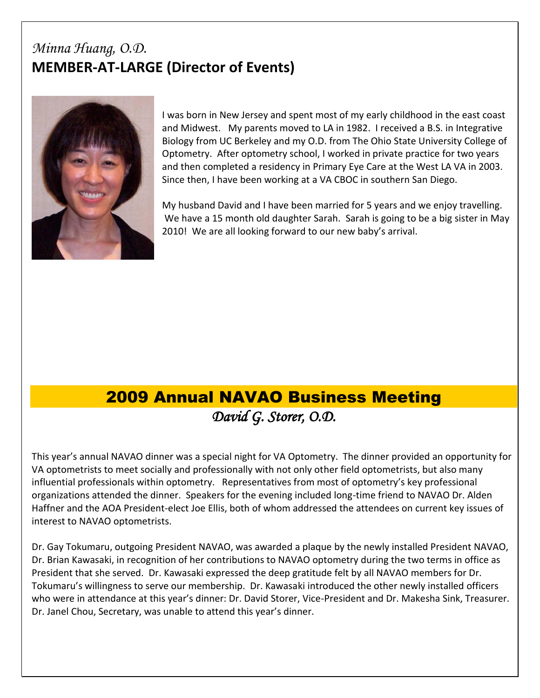### *Minna Huang, O.D.* **MEMBER-AT-LARGE (Director of Events)**



I was born in New Jersey and spent most of my early childhood in the east coast and Midwest. My parents moved to LA in 1982. I received a B.S. in Integrative Biology from UC Berkeley and my O.D. from The Ohio State University College of Optometry. After optometry school, I worked in private practice for two years and then completed a residency in Primary Eye Care at the West LA VA in 2003. Since then, I have been working at a VA CBOC in southern San Diego.

My husband David and I have been married for 5 years and we enjoy travelling. We have a 15 month old daughter Sarah. Sarah is going to be a big sister in May 2010! We are all looking forward to our new baby's arrival.

### 2009 Annual NAVAO Business Meeting *David G. Storer, O.D.*

<span id="page-6-0"></span>This year's annual NAVAO dinner was a special night for VA Optometry. The dinner provided an opportunity for VA optometrists to meet socially and professionally with not only other field optometrists, but also many influential professionals within optometry. Representatives from most of optometry's key professional organizations attended the dinner. Speakers for the evening included long-time friend to NAVAO Dr. Alden Haffner and the AOA President-elect Joe Ellis, both of whom addressed the attendees on current key issues of interest to NAVAO optometrists.

Dr. Gay Tokumaru, outgoing President NAVAO, was awarded a plaque by the newly installed President NAVAO, Dr. Brian Kawasaki, in recognition of her contributions to NAVAO optometry during the two terms in office as President that she served. Dr. Kawasaki expressed the deep gratitude felt by all NAVAO members for Dr. Tokumaru's willingness to serve our membership. Dr. Kawasaki introduced the other newly installed officers who were in attendance at this year's dinner: Dr. David Storer, Vice-President and Dr. Makesha Sink, Treasurer. Dr. Janel Chou, Secretary, was unable to attend this year's dinner.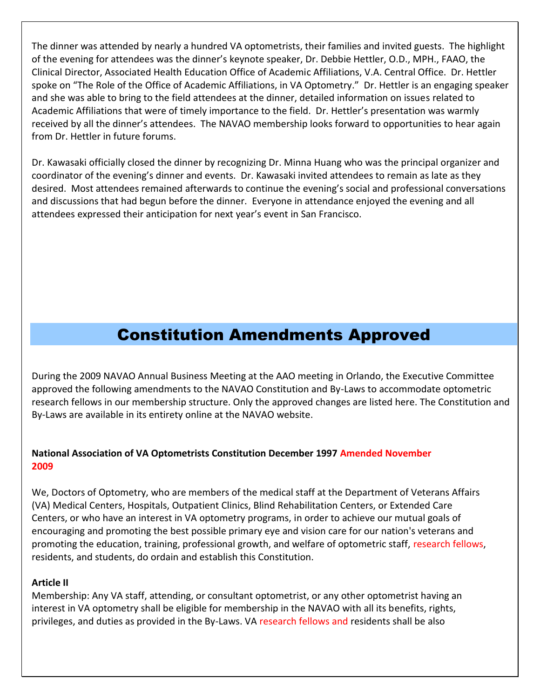The dinner was attended by nearly a hundred VA optometrists, their families and invited guests. The highlight of the evening for attendees was the dinner's keynote speaker, Dr. Debbie Hettler, O.D., MPH., FAAO, the Clinical Director, Associated Health Education Office of Academic Affiliations, V.A. Central Office. Dr. Hettler spoke on "The Role of the Office of Academic Affiliations, in VA Optometry." Dr. Hettler is an engaging speaker and she was able to bring to the field attendees at the dinner, detailed information on issues related to Academic Affiliations that were of timely importance to the field. Dr. Hettler's presentation was warmly received by all the dinner's attendees. The NAVAO membership looks forward to opportunities to hear again from Dr. Hettler in future forums.

Dr. Kawasaki officially closed the dinner by recognizing Dr. Minna Huang who was the principal organizer and coordinator of the evening's dinner and events. Dr. Kawasaki invited attendees to remain as late as they desired. Most attendees remained afterwards to continue the evening's social and professional conversations and discussions that had begun before the dinner. Everyone in attendance enjoyed the evening and all attendees expressed their anticipation for next year's event in San Francisco.

### Constitution Amendments Approved

<span id="page-7-0"></span>During the 2009 NAVAO Annual Business Meeting at the AAO meeting in Orlando, the Executive Committee approved the following amendments to the NAVAO Constitution and By-Laws to accommodate optometric research fellows in our membership structure. Only the approved changes are listed here. The Constitution and By-Laws are available in its entirety online at the NAVAO website.

### **National Association of VA Optometrists Constitution December 1997 Amended November 2009**

We, Doctors of Optometry, who are members of the medical staff at the Department of Veterans Affairs (VA) Medical Centers, Hospitals, Outpatient Clinics, Blind Rehabilitation Centers, or Extended Care Centers, or who have an interest in VA optometry programs, in order to achieve our mutual goals of encouraging and promoting the best possible primary eye and vision care for our nation's veterans and promoting the education, training, professional growth, and welfare of optometric staff, research fellows, residents, and students, do ordain and establish this Constitution.

#### **Article II**

Membership: Any VA staff, attending, or consultant optometrist, or any other optometrist having an interest in VA optometry shall be eligible for membership in the NAVAO with all its benefits, rights, privileges, and duties as provided in the By-Laws. VA research fellows and residents shall be also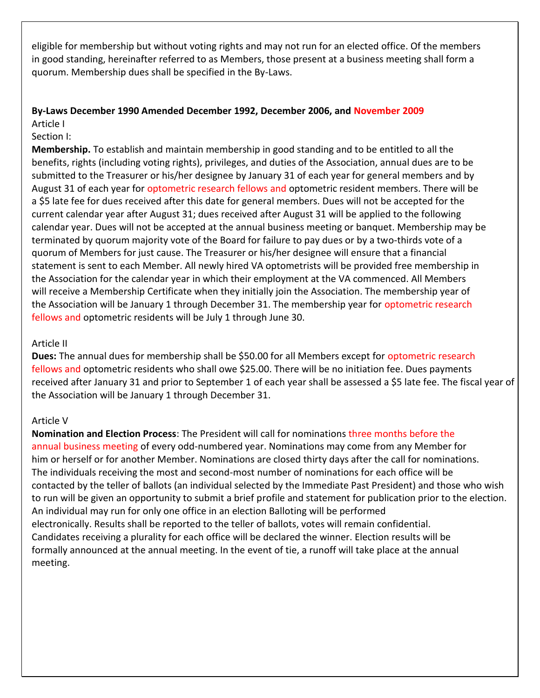eligible for membership but without voting rights and may not run for an elected office. Of the members in good standing, hereinafter referred to as Members, those present at a business meeting shall form a quorum. Membership dues shall be specified in the By-Laws.

#### **By-Laws December 1990 Amended December 1992, December 2006, and November 2009** Article I

Section I:

**Membership.** To establish and maintain membership in good standing and to be entitled to all the benefits, rights (including voting rights), privileges, and duties of the Association, annual dues are to be submitted to the Treasurer or his/her designee by January 31 of each year for general members and by August 31 of each year for optometric research fellows and optometric resident members. There will be a \$5 late fee for dues received after this date for general members. Dues will not be accepted for the current calendar year after August 31; dues received after August 31 will be applied to the following calendar year. Dues will not be accepted at the annual business meeting or banquet. Membership may be terminated by quorum majority vote of the Board for failure to pay dues or by a two-thirds vote of a quorum of Members for just cause. The Treasurer or his/her designee will ensure that a financial statement is sent to each Member. All newly hired VA optometrists will be provided free membership in the Association for the calendar year in which their employment at the VA commenced. All Members will receive a Membership Certificate when they initially join the Association. The membership year of the Association will be January 1 through December 31. The membership year for optometric research fellows and optometric residents will be July 1 through June 30.

#### Article II

**Dues:** The annual dues for membership shall be \$50.00 for all Members except for optometric research fellows and optometric residents who shall owe \$25.00. There will be no initiation fee. Dues payments received after January 31 and prior to September 1 of each year shall be assessed a \$5 late fee. The fiscal year of the Association will be January 1 through December 31.

#### Article V

**Nomination and Election Process**: The President will call for nominations three months before the annual business meeting of every odd-numbered year. Nominations may come from any Member for him or herself or for another Member. Nominations are closed thirty days after the call for nominations. The individuals receiving the most and second-most number of nominations for each office will be contacted by the teller of ballots (an individual selected by the Immediate Past President) and those who wish to run will be given an opportunity to submit a brief profile and statement for publication prior to the election. An individual may run for only one office in an election Balloting will be performed electronically. Results shall be reported to the teller of ballots, votes will remain confidential. Candidates receiving a plurality for each office will be declared the winner. Election results will be formally announced at the annual meeting. In the event of tie, a runoff will take place at the annual meeting.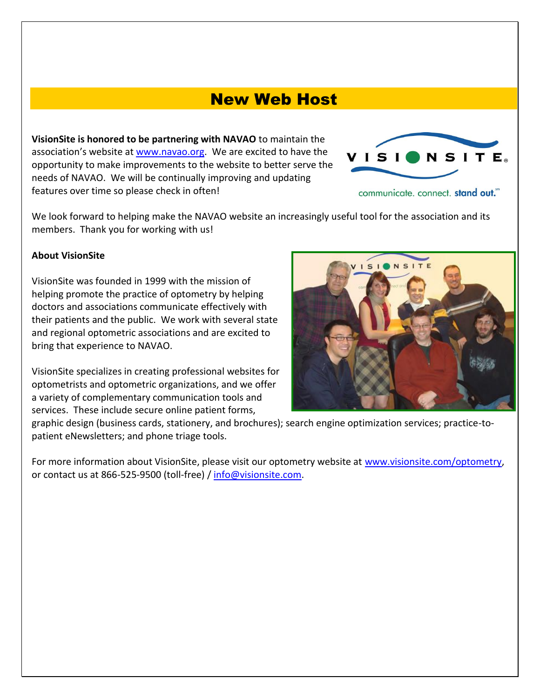### New Web Host

<span id="page-9-0"></span>**VisionSite is honored to be partnering with NAVAO** to maintain the association's website at [www.navao.org.](http://www.navao.org/) We are excited to have the opportunity to make improvements to the website to better serve the needs of NAVAO. We will be continually improving and updating features over time so please check in often!



communicate. connect. stand out."

We look forward to helping make the NAVAO website an increasingly useful tool for the association and its members. Thank you for working with us!

#### **About VisionSite**

VisionSite was founded in 1999 with the mission of helping promote the practice of optometry by helping doctors and associations communicate effectively with their patients and the public. We work with several state and regional optometric associations and are excited to bring that experience to NAVAO.

VisionSite specializes in creating professional websites for optometrists and optometric organizations, and we offer a variety of complementary communication tools and services. These include secure online patient forms,



graphic design (business cards, stationery, and brochures); search engine optimization services; practice-topatient eNewsletters; and phone triage tools.

For more information about VisionSite, please visit our optometry website at [www.visionsite.com/optometry,](http://www.visionsite.com/optometry) or contact us at 866-525-9500 (toll-free) / [info@visionsite.com.](mailto:info@visionsite.com)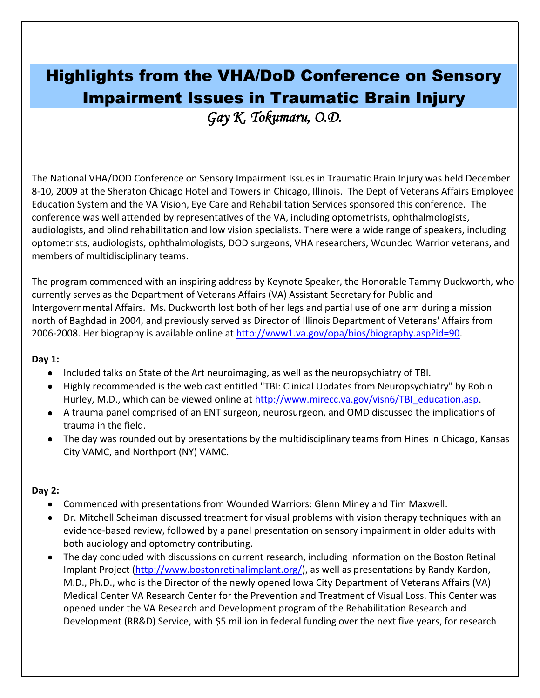## <span id="page-10-0"></span>Highlights from the VHA/DoD Conference on Sensory Impairment Issues in Traumatic Brain Injury

*Gay K. Tokumaru, O.D.* 

The National VHA/DOD Conference on Sensory Impairment Issues in Traumatic Brain Injury was held December 8-10, 2009 at the Sheraton Chicago Hotel and Towers in Chicago, Illinois. The Dept of Veterans Affairs Employee Education System and the VA Vision, Eye Care and Rehabilitation Services sponsored this conference. The conference was well attended by representatives of the VA, including optometrists, ophthalmologists, audiologists, and blind rehabilitation and low vision specialists. There were a wide range of speakers, including optometrists, audiologists, ophthalmologists, DOD surgeons, VHA researchers, Wounded Warrior veterans, and members of multidisciplinary teams.

The program commenced with an inspiring address by Keynote Speaker, the Honorable Tammy Duckworth, who currently serves as the Department of Veterans Affairs (VA) Assistant Secretary for Public and Intergovernmental Affairs. Ms. Duckworth lost both of her legs and partial use of one arm during a mission north of Baghdad in 2004, and previously served as Director of Illinois Department of Veterans' Affairs from 2006-2008. Her biography is available online at [http://www1.va.gov/opa/bios/biography.asp?id=90.](http://www1.va.gov/opa/bios/biography.asp?id=90)

#### **Day 1:**

- Included talks on State of the Art neuroimaging, as well as the neuropsychiatry of TBI.
- Highly recommended is the web cast entitled "TBI: Clinical Updates from Neuropsychiatry" by Robin Hurley, M.D., which can be viewed online at [http://www.mirecc.va.gov/visn6/TBI\\_education.asp.](http://www.mirecc.va.gov/visn6/TBI_education.asp)
- A trauma panel comprised of an ENT surgeon, neurosurgeon, and OMD discussed the implications of trauma in the field.
- The day was rounded out by presentations by the multidisciplinary teams from Hines in Chicago, Kansas City VAMC, and Northport (NY) VAMC.

#### **Day 2:**

- Commenced with presentations from Wounded Warriors: Glenn Miney and Tim Maxwell.
- Dr. Mitchell Scheiman discussed treatment for visual problems with vision therapy techniques with an evidence-based review, followed by a panel presentation on sensory impairment in older adults with both audiology and optometry contributing.
- The day concluded with discussions on current research, including information on the Boston Retinal Implant Project [\(http://www.bostonretinalimplant.org/\)](http://www.bostonretinalimplant.org/), as well as presentations by Randy Kardon, M.D., Ph.D., who is the Director of the newly opened Iowa City Department of Veterans Affairs (VA) Medical Center VA Research Center for the Prevention and Treatment of Visual Loss. This Center was opened under the VA Research and Development program of the Rehabilitation Research and Development (RR&D) Service, with \$5 million in federal funding over the next five years, for research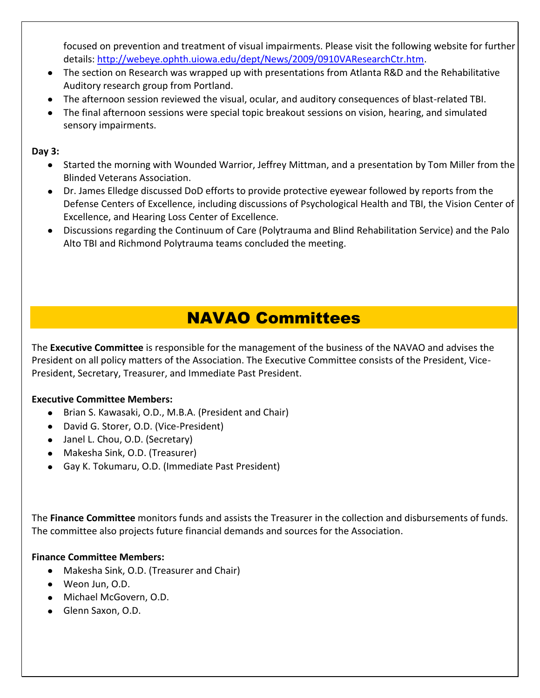focused on prevention and treatment of visual impairments. Please visit the following website for further details: [http://webeye.ophth.uiowa.edu/dept/News/2009/0910VAResearchCtr.htm.](http://webeye.ophth.uiowa.edu/dept/News/2009/0910VAResearchCtr.htm)

- The section on Research was wrapped up with presentations from Atlanta R&D and the Rehabilitative Auditory research group from Portland.
- The afternoon session reviewed the visual, ocular, and auditory consequences of blast-related TBI.
- The final afternoon sessions were special topic breakout sessions on vision, hearing, and simulated sensory impairments.

**Day 3:**

- Started the morning with Wounded Warrior, Jeffrey Mittman, and a presentation by Tom Miller from the Blinded Veterans Association.
- Dr. James Elledge discussed DoD efforts to provide protective eyewear followed by reports from the Defense Centers of Excellence, including discussions of Psychological Health and TBI, the Vision Center of Excellence, and Hearing Loss Center of Excellence.
- Discussions regarding the Continuum of Care (Polytrauma and Blind Rehabilitation Service) and the Palo Alto TBI and Richmond Polytrauma teams concluded the meeting.

### NAVAO Committees

<span id="page-11-0"></span>The **Executive Committee** is responsible for the management of the business of the NAVAO and advises the President on all policy matters of the Association. The Executive Committee consists of the President, Vice-President, Secretary, Treasurer, and Immediate Past President.

### **Executive Committee Members:**

- Brian S. Kawasaki, O.D., M.B.A. (President and Chair)  $\bullet$
- David G. Storer, O.D. (Vice-President)
- Janel L. Chou, O.D. (Secretary)
- Makesha Sink, O.D. (Treasurer)
- Gay K. Tokumaru, O.D. (Immediate Past President)

The **Finance Committee** monitors funds and assists the Treasurer in the collection and disbursements of funds. The committee also projects future financial demands and sources for the Association.

#### **Finance Committee Members:**

- Makesha Sink, O.D. (Treasurer and Chair)
- Weon Jun, O.D.
- Michael McGovern, O.D.
- Glenn Saxon, O.D.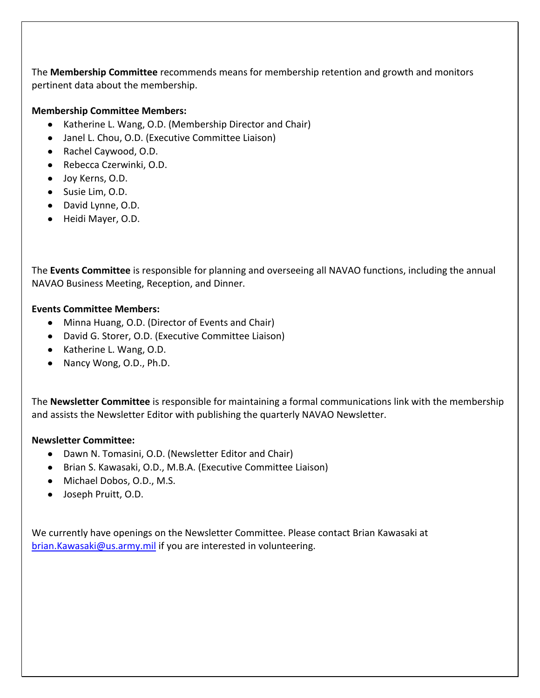The **Membership Committee** recommends means for membership retention and growth and monitors pertinent data about the membership.

#### **Membership Committee Members:**

- Katherine L. Wang, O.D. (Membership Director and Chair)
- Janel L. Chou, O.D. (Executive Committee Liaison)
- Rachel Caywood, O.D.
- Rebecca Czerwinki, O.D.
- Joy Kerns, O.D.
- Susie Lim, O.D.
- David Lynne, O.D.
- Heidi Mayer, O.D.

The **Events Committee** is responsible for planning and overseeing all NAVAO functions, including the annual NAVAO Business Meeting, Reception, and Dinner.

#### **Events Committee Members:**

- Minna Huang, O.D. (Director of Events and Chair)
- David G. Storer, O.D. (Executive Committee Liaison)
- Katherine L. Wang, O.D.
- Nancy Wong, O.D., Ph.D.

The **Newsletter Committee** is responsible for maintaining a formal communications link with the membership and assists the Newsletter Editor with publishing the quarterly NAVAO Newsletter.

#### **Newsletter Committee:**

- Dawn N. Tomasini, O.D. (Newsletter Editor and Chair)
- Brian S. Kawasaki, O.D., M.B.A. (Executive Committee Liaison)
- Michael Dobos, O.D., M.S.
- Joseph Pruitt, O.D.

We currently have openings on the Newsletter Committee. Please contact Brian Kawasaki at [brian.Kawasaki@us.army.mil](mailto:brian.Kawasaki@us.army.mil) if you are interested in volunteering.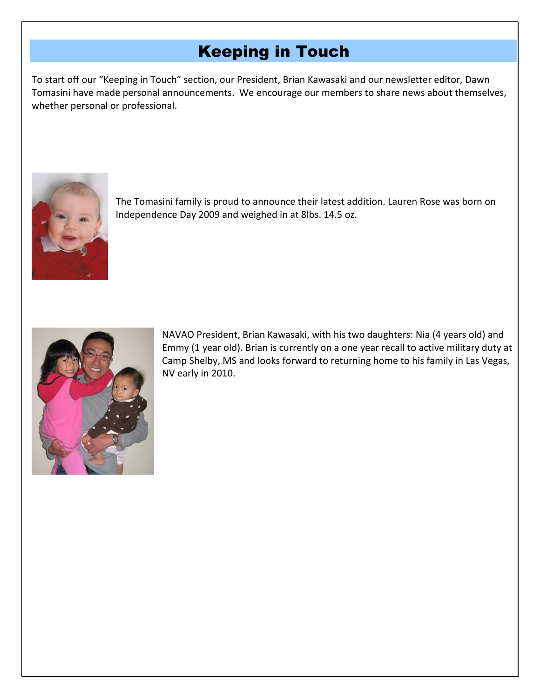### Keeping in Touch

<span id="page-13-0"></span>To start off our "Keeping in Touch" section, our President, Brian Kawasaki and our newsletter editor, Dawn Tomasini have made personal announcements. We encourage our members to share news about themselves, whether personal or professional.



The Tomasini family is proud to announce their latest addition. Lauren Rose was born on Independence Day 2009 and weighed in at 8lbs. 14.5 oz.



NAVAO President, Brian Kawasaki, with his two daughters: Nia (4 years old) and Emmy (1 year old). Brian is currently on a one year recall to active military duty at Camp Shelby, MS and looks forward to returning home to his family in Las Vegas, NV early in 2010.